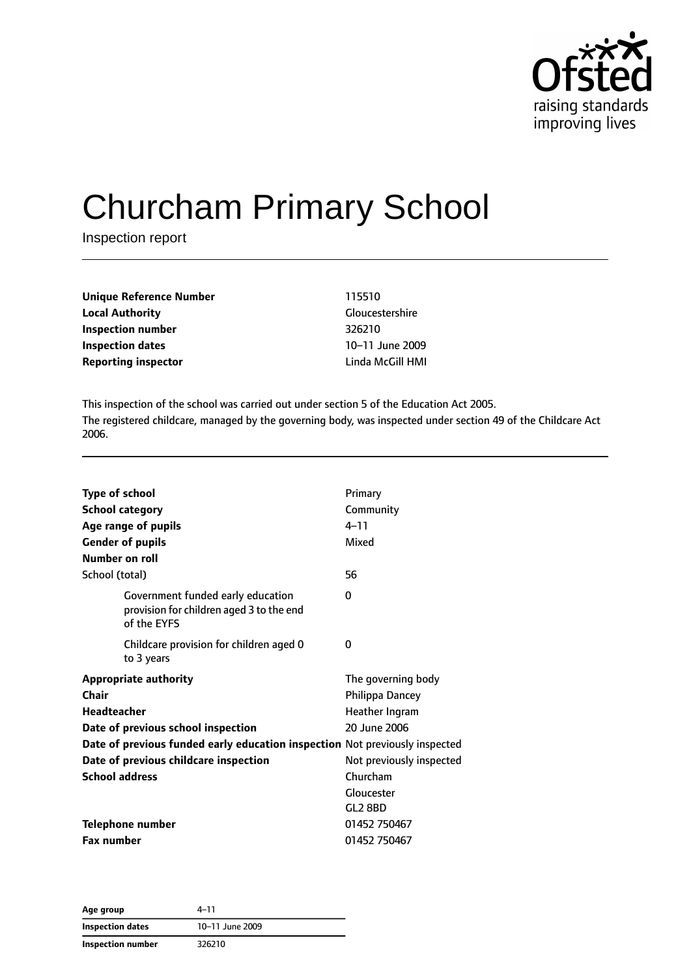

# Churcham Primary School

Inspection report

| Unique Reference Number    | 115510                 |
|----------------------------|------------------------|
| <b>Local Authority</b>     | <b>Gloucestershire</b> |
| Inspection number          | 326210                 |
| <b>Inspection dates</b>    | 10-11 June 2009        |
| <b>Reporting inspector</b> | Linda McGill HMI       |

This inspection of the school was carried out under section 5 of the Education Act 2005. The registered childcare, managed by the governing body, was inspected under section 49 of the Childcare Act 2006.

| <b>Type of school</b><br><b>School category</b>                                              | Primary<br>Community     |
|----------------------------------------------------------------------------------------------|--------------------------|
| Age range of pupils                                                                          | $4 - 11$                 |
| <b>Gender of pupils</b>                                                                      | Mixed                    |
| Number on roll                                                                               |                          |
| School (total)                                                                               | 56                       |
| Government funded early education<br>provision for children aged 3 to the end<br>of the EYFS | 0                        |
| Childcare provision for children aged 0<br>to 3 years                                        | 0                        |
| <b>Appropriate authority</b>                                                                 | The governing body       |
| Chair                                                                                        | Philippa Dancey          |
| <b>Headteacher</b>                                                                           | Heather Ingram           |
| Date of previous school inspection                                                           | 20 June 2006             |
| Date of previous funded early education inspection Not previously inspected                  |                          |
| Date of previous childcare inspection                                                        | Not previously inspected |
| <b>School address</b>                                                                        | Churcham                 |
|                                                                                              | Gloucester               |
|                                                                                              | GL2 8BD                  |
| Telephone number                                                                             | 01452 750467             |
| <b>Fax number</b>                                                                            | 01452 750467             |

**Age group** 4–11 **Inspection dates** 10–11 June 2009 **Inspection number** 326210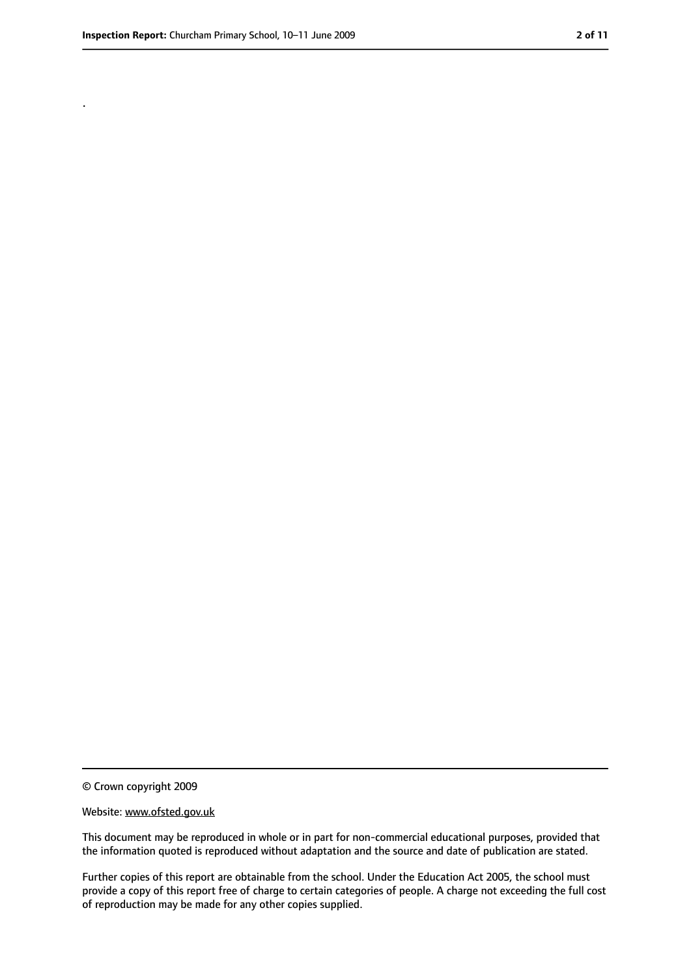.

<sup>©</sup> Crown copyright 2009

Website: www.ofsted.gov.uk

This document may be reproduced in whole or in part for non-commercial educational purposes, provided that the information quoted is reproduced without adaptation and the source and date of publication are stated.

Further copies of this report are obtainable from the school. Under the Education Act 2005, the school must provide a copy of this report free of charge to certain categories of people. A charge not exceeding the full cost of reproduction may be made for any other copies supplied.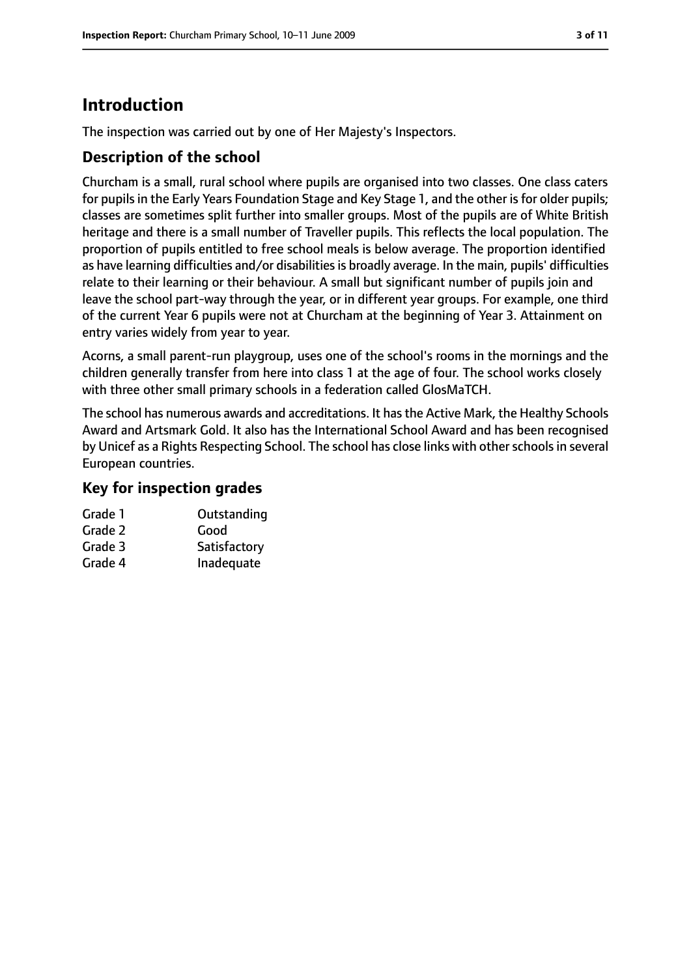# **Introduction**

The inspection was carried out by one of Her Majesty's Inspectors.

#### **Description of the school**

Churcham is a small, rural school where pupils are organised into two classes. One class caters for pupils in the Early Years Foundation Stage and Key Stage 1, and the other is for older pupils; classes are sometimes split further into smaller groups. Most of the pupils are of White British heritage and there is a small number of Traveller pupils. This reflects the local population. The proportion of pupils entitled to free school meals is below average. The proportion identified as have learning difficulties and/or disabilities is broadly average. In the main, pupils' difficulties relate to their learning or their behaviour. A small but significant number of pupils join and leave the school part-way through the year, or in different year groups. For example, one third of the current Year 6 pupils were not at Churcham at the beginning of Year 3. Attainment on entry varies widely from year to year.

Acorns, a small parent-run playgroup, uses one of the school's rooms in the mornings and the children generally transfer from here into class 1 at the age of four. The school works closely with three other small primary schools in a federation called GlosMaTCH.

The school has numerous awards and accreditations. It has the Active Mark, the Healthy Schools Award and Artsmark Gold. It also has the International School Award and has been recognised by Unicef as a Rights Respecting School. The school has close links with other schools in several European countries.

#### **Key for inspection grades**

| Grade 1 | Outstanding  |
|---------|--------------|
| Grade 2 | Good         |
| Grade 3 | Satisfactory |
| Grade 4 | Inadequate   |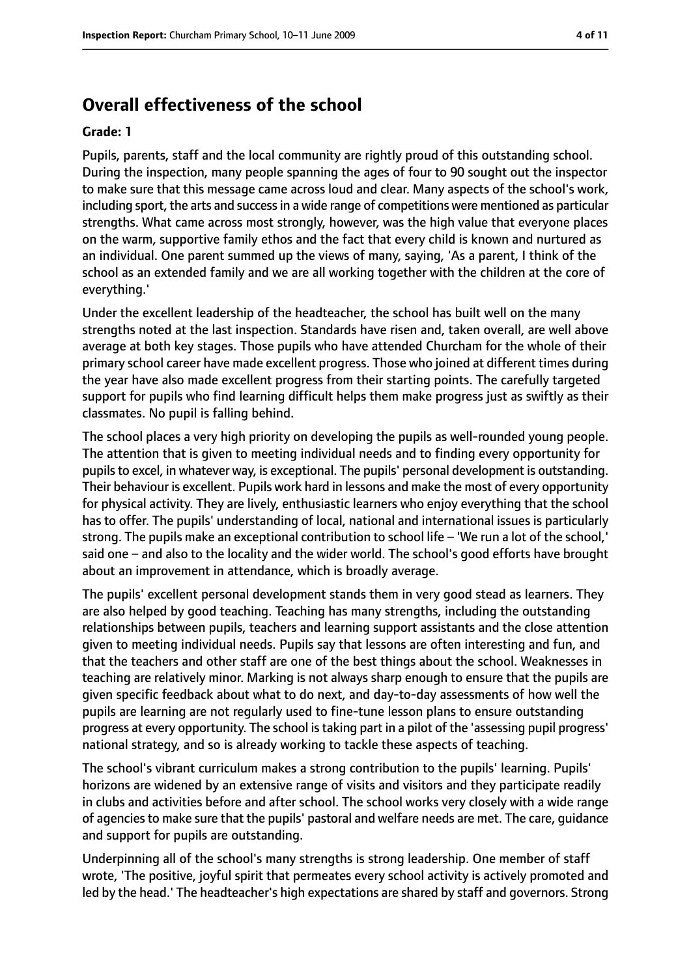## **Overall effectiveness of the school**

#### **Grade: 1**

Pupils, parents, staff and the local community are rightly proud of this outstanding school. During the inspection, many people spanning the ages of four to 90 sought out the inspector to make sure that this message came across loud and clear. Many aspects of the school's work, including sport, the arts and success in a wide range of competitions were mentioned as particular strengths. What came across most strongly, however, was the high value that everyone places on the warm, supportive family ethos and the fact that every child is known and nurtured as an individual. One parent summed up the views of many, saying, 'As a parent, I think of the school as an extended family and we are all working together with the children at the core of everything.'

Under the excellent leadership of the headteacher, the school has built well on the many strengths noted at the last inspection. Standards have risen and, taken overall, are well above average at both key stages. Those pupils who have attended Churcham for the whole of their primary school career have made excellent progress. Those who joined at different times during the year have also made excellent progress from their starting points. The carefully targeted support for pupils who find learning difficult helps them make progress just as swiftly as their classmates. No pupil is falling behind.

The school places a very high priority on developing the pupils as well-rounded young people. The attention that is given to meeting individual needs and to finding every opportunity for pupils to excel, in whatever way, is exceptional. The pupils' personal development is outstanding. Their behaviour is excellent. Pupils work hard in lessons and make the most of every opportunity for physical activity. They are lively, enthusiastic learners who enjoy everything that the school has to offer. The pupils' understanding of local, national and international issues is particularly strong. The pupils make an exceptional contribution to school life – 'We run a lot of the school,' said one – and also to the locality and the wider world. The school's good efforts have brought about an improvement in attendance, which is broadly average.

The pupils' excellent personal development stands them in very good stead as learners. They are also helped by good teaching. Teaching has many strengths, including the outstanding relationships between pupils, teachers and learning support assistants and the close attention given to meeting individual needs. Pupils say that lessons are often interesting and fun, and that the teachers and other staff are one of the best things about the school. Weaknesses in teaching are relatively minor. Marking is not always sharp enough to ensure that the pupils are given specific feedback about what to do next, and day-to-day assessments of how well the pupils are learning are not regularly used to fine-tune lesson plans to ensure outstanding progress at every opportunity. The school istaking part in a pilot of the 'assessing pupil progress' national strategy, and so is already working to tackle these aspects of teaching.

The school's vibrant curriculum makes a strong contribution to the pupils' learning. Pupils' horizons are widened by an extensive range of visits and visitors and they participate readily in clubs and activities before and after school. The school works very closely with a wide range of agencies to make sure that the pupils' pastoral and welfare needs are met. The care, guidance and support for pupils are outstanding.

Underpinning all of the school's many strengths is strong leadership. One member of staff wrote, 'The positive, joyful spirit that permeates every school activity is actively promoted and led by the head.' The headteacher's high expectations are shared by staff and governors. Strong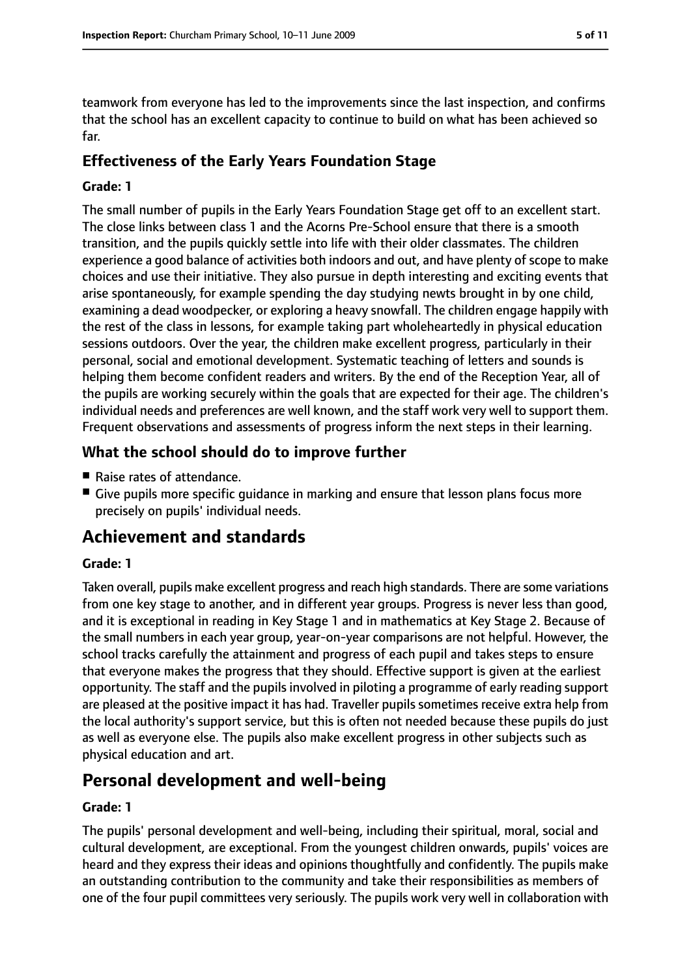teamwork from everyone has led to the improvements since the last inspection, and confirms that the school has an excellent capacity to continue to build on what has been achieved so far.

## **Effectiveness of the Early Years Foundation Stage**

#### **Grade: 1**

The small number of pupils in the Early Years Foundation Stage get off to an excellent start. The close links between class 1 and the Acorns Pre-School ensure that there is a smooth transition, and the pupils quickly settle into life with their older classmates. The children experience a good balance of activities both indoors and out, and have plenty of scope to make choices and use their initiative. They also pursue in depth interesting and exciting events that arise spontaneously, for example spending the day studying newts brought in by one child, examining a dead woodpecker, or exploring a heavy snowfall. The children engage happily with the rest of the class in lessons, for example taking part wholeheartedly in physical education sessions outdoors. Over the year, the children make excellent progress, particularly in their personal, social and emotional development. Systematic teaching of letters and sounds is helping them become confident readers and writers. By the end of the Reception Year, all of the pupils are working securely within the goals that are expected for their age. The children's individual needs and preferences are well known, and the staff work very well to support them. Frequent observations and assessments of progress inform the next steps in their learning.

## **What the school should do to improve further**

- Raise rates of attendance.
- Give pupils more specific quidance in marking and ensure that lesson plans focus more precisely on pupils' individual needs.

# **Achievement and standards**

#### **Grade: 1**

Taken overall, pupils make excellent progress and reach high standards. There are some variations from one key stage to another, and in different year groups. Progress is never less than good, and it is exceptional in reading in Key Stage 1 and in mathematics at Key Stage 2. Because of the small numbers in each year group, year-on-year comparisons are not helpful. However, the school tracks carefully the attainment and progress of each pupil and takes steps to ensure that everyone makes the progress that they should. Effective support is given at the earliest opportunity. The staff and the pupils involved in piloting a programme of early reading support are pleased at the positive impact it has had. Traveller pupils sometimes receive extra help from the local authority's support service, but this is often not needed because these pupils do just as well as everyone else. The pupils also make excellent progress in other subjects such as physical education and art.

# **Personal development and well-being**

#### **Grade: 1**

The pupils' personal development and well-being, including their spiritual, moral, social and cultural development, are exceptional. From the youngest children onwards, pupils' voices are heard and they express their ideas and opinions thoughtfully and confidently. The pupils make an outstanding contribution to the community and take their responsibilities as members of one of the four pupil committees very seriously. The pupils work very well in collaboration with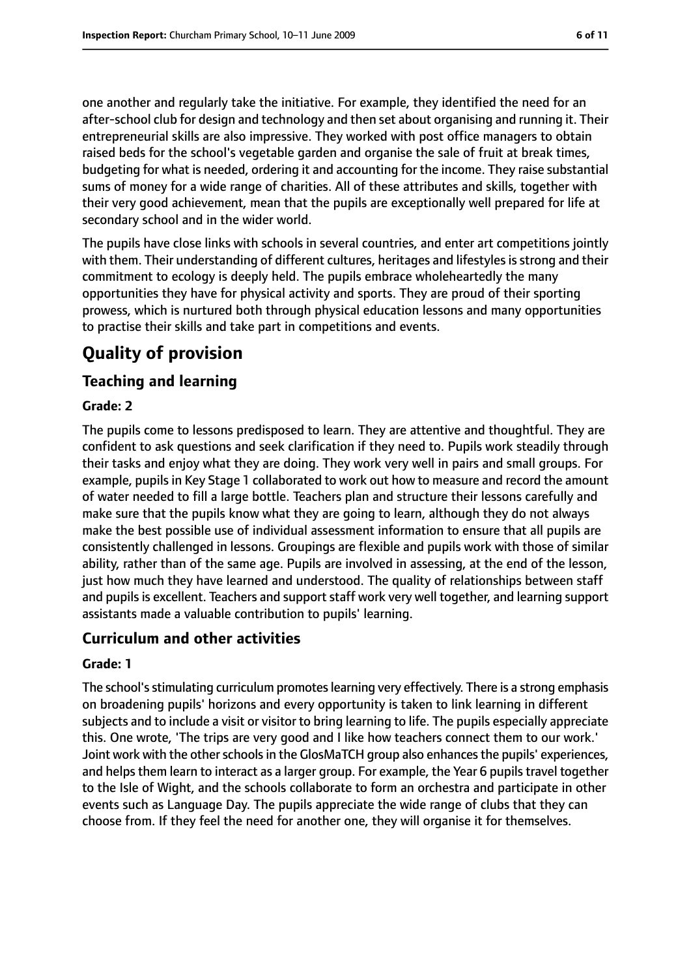one another and regularly take the initiative. For example, they identified the need for an after-school club for design and technology and then set about organising and running it. Their entrepreneurial skills are also impressive. They worked with post office managers to obtain raised beds for the school's vegetable garden and organise the sale of fruit at break times, budgeting for what is needed, ordering it and accounting for the income. They raise substantial sums of money for a wide range of charities. All of these attributes and skills, together with their very good achievement, mean that the pupils are exceptionally well prepared for life at secondary school and in the wider world.

The pupils have close links with schools in several countries, and enter art competitions jointly with them. Their understanding of different cultures, heritages and lifestyles is strong and their commitment to ecology is deeply held. The pupils embrace wholeheartedly the many opportunities they have for physical activity and sports. They are proud of their sporting prowess, which is nurtured both through physical education lessons and many opportunities to practise their skills and take part in competitions and events.

# **Quality of provision**

## **Teaching and learning**

#### **Grade: 2**

The pupils come to lessons predisposed to learn. They are attentive and thoughtful. They are confident to ask questions and seek clarification if they need to. Pupils work steadily through their tasks and enjoy what they are doing. They work very well in pairs and small groups. For example, pupils in Key Stage 1 collaborated to work out how to measure and record the amount of water needed to fill a large bottle. Teachers plan and structure their lessons carefully and make sure that the pupils know what they are going to learn, although they do not always make the best possible use of individual assessment information to ensure that all pupils are consistently challenged in lessons. Groupings are flexible and pupils work with those of similar ability, rather than of the same age. Pupils are involved in assessing, at the end of the lesson, just how much they have learned and understood. The quality of relationships between staff and pupils is excellent. Teachers and support staff work very well together, and learning support assistants made a valuable contribution to pupils' learning.

## **Curriculum and other activities**

#### **Grade: 1**

The school's stimulating curriculum promotes learning very effectively. There is a strong emphasis on broadening pupils' horizons and every opportunity is taken to link learning in different subjects and to include a visit or visitor to bring learning to life. The pupils especially appreciate this. One wrote, 'The trips are very good and I like how teachers connect them to our work.' Joint work with the other schools in the GlosMaTCH group also enhances the pupils' experiences, and helps them learn to interact as a larger group. For example, the Year 6 pupils travel together to the Isle of Wight, and the schools collaborate to form an orchestra and participate in other events such as Language Day. The pupils appreciate the wide range of clubs that they can choose from. If they feel the need for another one, they will organise it for themselves.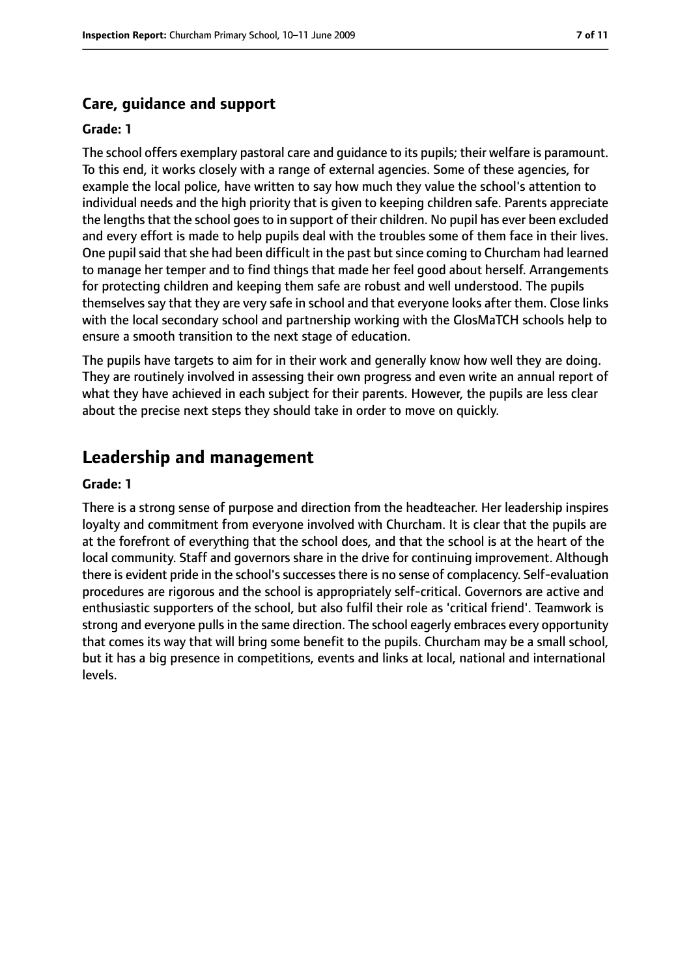#### **Care, guidance and support**

#### **Grade: 1**

The school offers exemplary pastoral care and guidance to its pupils; their welfare is paramount. To this end, it works closely with a range of external agencies. Some of these agencies, for example the local police, have written to say how much they value the school's attention to individual needs and the high priority that is given to keeping children safe. Parents appreciate the lengths that the school goes to in support of their children. No pupil has ever been excluded and every effort is made to help pupils deal with the troubles some of them face in their lives. One pupil said that she had been difficult in the past but since coming to Churcham had learned to manage her temper and to find things that made her feel good about herself. Arrangements for protecting children and keeping them safe are robust and well understood. The pupils themselves say that they are very safe in school and that everyone looks after them. Close links with the local secondary school and partnership working with the GlosMaTCH schools help to ensure a smooth transition to the next stage of education.

The pupils have targets to aim for in their work and generally know how well they are doing. They are routinely involved in assessing their own progress and even write an annual report of what they have achieved in each subject for their parents. However, the pupils are less clear about the precise next steps they should take in order to move on quickly.

# **Leadership and management**

#### **Grade: 1**

There is a strong sense of purpose and direction from the headteacher. Her leadership inspires loyalty and commitment from everyone involved with Churcham. It is clear that the pupils are at the forefront of everything that the school does, and that the school is at the heart of the local community. Staff and governors share in the drive for continuing improvement. Although there is evident pride in the school's successes there is no sense of complacency. Self-evaluation procedures are rigorous and the school is appropriately self-critical. Governors are active and enthusiastic supporters of the school, but also fulfil their role as 'critical friend'. Teamwork is strong and everyone pulls in the same direction. The school eagerly embraces every opportunity that comes its way that will bring some benefit to the pupils. Churcham may be a small school, but it has a big presence in competitions, events and links at local, national and international levels.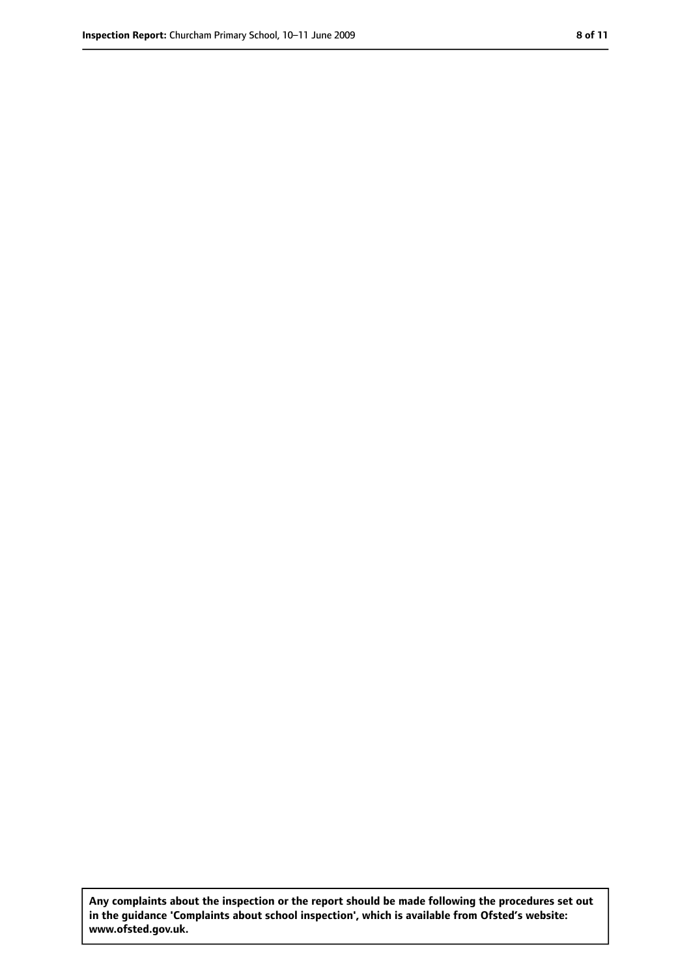**Any complaints about the inspection or the report should be made following the procedures set out in the guidance 'Complaints about school inspection', which is available from Ofsted's website: www.ofsted.gov.uk.**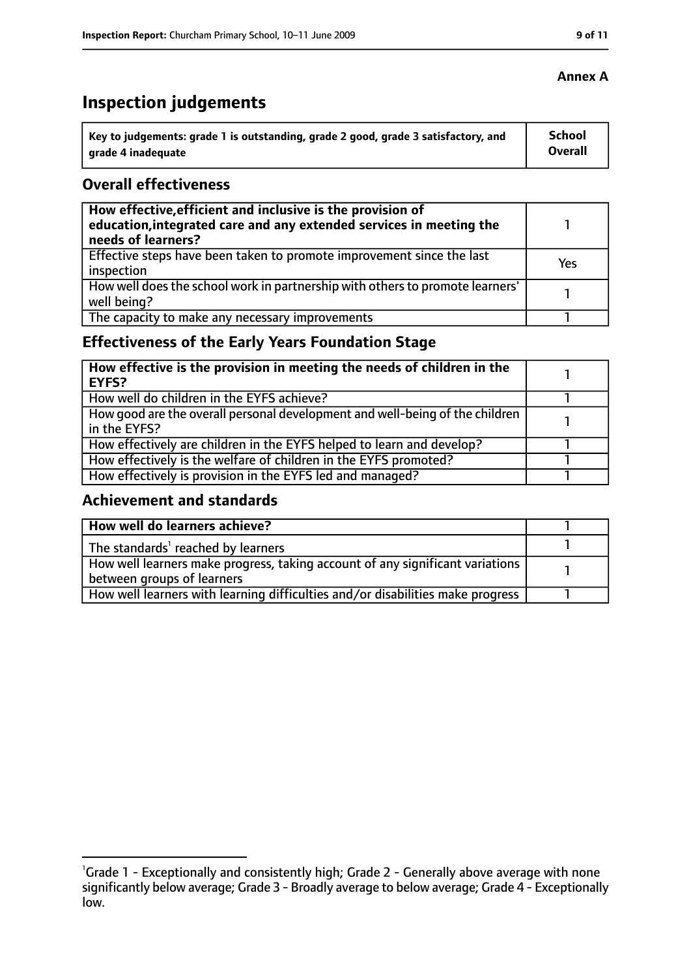# **Inspection judgements**

| ˈ Key to judgements: grade 1 is outstanding, grade 2 good, grade 3 satisfactory, and | School         |
|--------------------------------------------------------------------------------------|----------------|
| grade 4 inadequate                                                                   | <b>Overall</b> |

#### **Overall effectiveness**

| How effective, efficient and inclusive is the provision of<br>education, integrated care and any extended services in meeting the<br>needs of learners? |     |
|---------------------------------------------------------------------------------------------------------------------------------------------------------|-----|
| Effective steps have been taken to promote improvement since the last<br>inspection                                                                     | Yes |
| How well does the school work in partnership with others to promote learners'<br>well being?                                                            |     |
| The capacity to make any necessary improvements                                                                                                         |     |

# **Effectiveness of the Early Years Foundation Stage**

| How effective is the provision in meeting the needs of children in the<br>l EYFS?            |  |
|----------------------------------------------------------------------------------------------|--|
| How well do children in the EYFS achieve?                                                    |  |
| How good are the overall personal development and well-being of the children<br>in the EYFS? |  |
| How effectively are children in the EYFS helped to learn and develop?                        |  |
| How effectively is the welfare of children in the EYFS promoted?                             |  |
| How effectively is provision in the EYFS led and managed?                                    |  |

#### **Achievement and standards**

| How well do learners achieve?                                                  |  |
|--------------------------------------------------------------------------------|--|
| The standards <sup>1</sup> reached by learners                                 |  |
| How well learners make progress, taking account of any significant variations  |  |
| between groups of learners                                                     |  |
| How well learners with learning difficulties and/or disabilities make progress |  |

#### **Annex A**

<sup>&</sup>lt;sup>1</sup>Grade 1 - Exceptionally and consistently high; Grade 2 - Generally above average with none significantly below average; Grade 3 - Broadly average to below average; Grade 4 - Exceptionally low.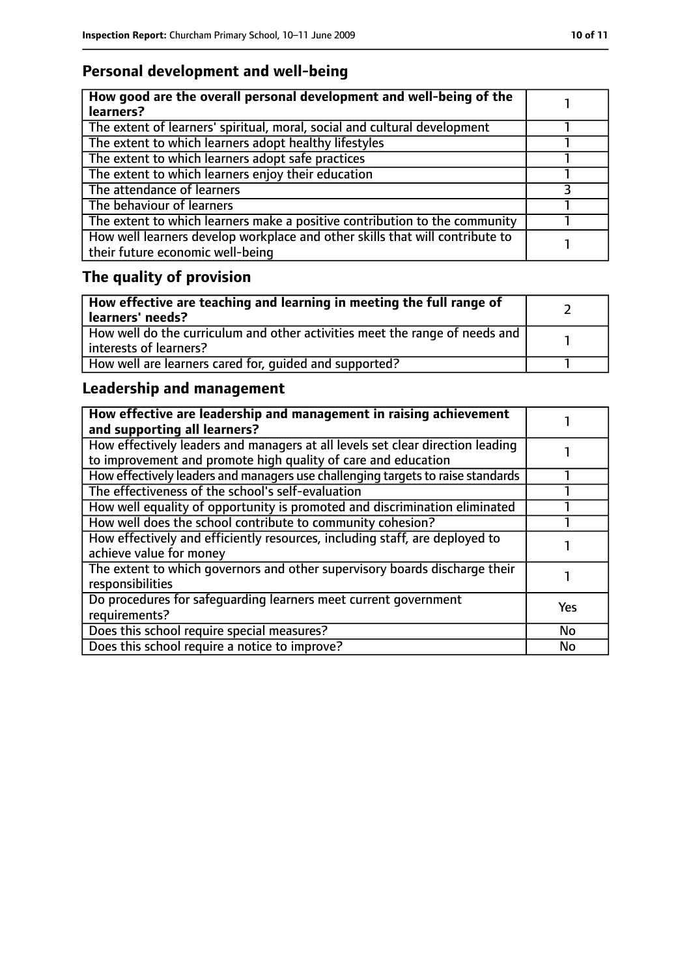# **Personal development and well-being**

| How good are the overall personal development and well-being of the<br>learners?                                 |  |
|------------------------------------------------------------------------------------------------------------------|--|
| The extent of learners' spiritual, moral, social and cultural development                                        |  |
| The extent to which learners adopt healthy lifestyles                                                            |  |
| The extent to which learners adopt safe practices                                                                |  |
| The extent to which learners enjoy their education                                                               |  |
| The attendance of learners                                                                                       |  |
| The behaviour of learners                                                                                        |  |
| The extent to which learners make a positive contribution to the community                                       |  |
| How well learners develop workplace and other skills that will contribute to<br>their future economic well-being |  |

# **The quality of provision**

| How effective are teaching and learning in meeting the full range of<br>learners' needs?              |  |
|-------------------------------------------------------------------------------------------------------|--|
| How well do the curriculum and other activities meet the range of needs and<br>interests of learners? |  |
| How well are learners cared for, quided and supported?                                                |  |

# **Leadership and management**

| How effective are leadership and management in raising achievement<br>and supporting all learners?                                              |     |
|-------------------------------------------------------------------------------------------------------------------------------------------------|-----|
| How effectively leaders and managers at all levels set clear direction leading<br>to improvement and promote high quality of care and education |     |
| How effectively leaders and managers use challenging targets to raise standards                                                                 |     |
| The effectiveness of the school's self-evaluation                                                                                               |     |
| How well equality of opportunity is promoted and discrimination eliminated                                                                      |     |
| How well does the school contribute to community cohesion?                                                                                      |     |
| How effectively and efficiently resources, including staff, are deployed to<br>achieve value for money                                          |     |
| The extent to which governors and other supervisory boards discharge their<br>responsibilities                                                  |     |
| Do procedures for safequarding learners meet current government<br>requirements?                                                                | Yes |
| Does this school require special measures?                                                                                                      | No  |
| Does this school require a notice to improve?                                                                                                   | No  |